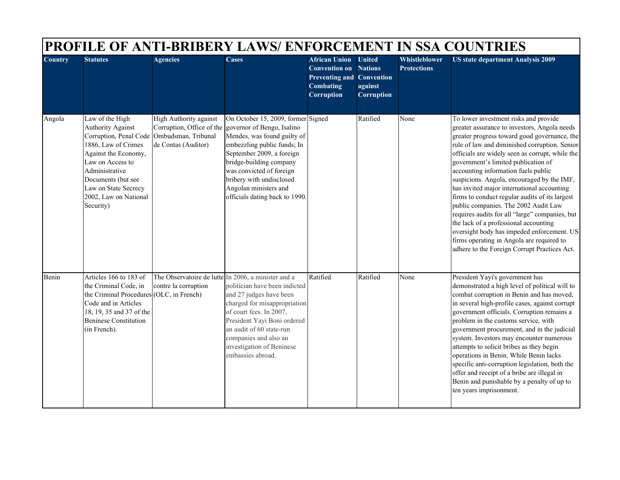| <b>Country</b> | <b>Statutes</b>                                                                                                                                                                                               | <b>Agencies</b>                                                                                                                 | Cases                                                                                                                                                                                                                                                                                                            | <b>African Union</b>                                                                       | <b>United</b>                                  | Whistleblower      | <b>US state department Analysis 2009</b>                                                                                                                                                                                                                                                                                                                                                                                                                                                                                                                                                                                                                                                                                                            |
|----------------|---------------------------------------------------------------------------------------------------------------------------------------------------------------------------------------------------------------|---------------------------------------------------------------------------------------------------------------------------------|------------------------------------------------------------------------------------------------------------------------------------------------------------------------------------------------------------------------------------------------------------------------------------------------------------------|--------------------------------------------------------------------------------------------|------------------------------------------------|--------------------|-----------------------------------------------------------------------------------------------------------------------------------------------------------------------------------------------------------------------------------------------------------------------------------------------------------------------------------------------------------------------------------------------------------------------------------------------------------------------------------------------------------------------------------------------------------------------------------------------------------------------------------------------------------------------------------------------------------------------------------------------------|
|                |                                                                                                                                                                                                               |                                                                                                                                 |                                                                                                                                                                                                                                                                                                                  | <b>Convention on</b><br><b>Preventing and Convention</b><br>Combating<br><b>Corruption</b> | <b>Nations</b><br>against<br><b>Corruption</b> | <b>Protections</b> |                                                                                                                                                                                                                                                                                                                                                                                                                                                                                                                                                                                                                                                                                                                                                     |
| Angola         | Law of the High<br>Authority Against<br>1886, Law of Crimes<br>Against the Economy,<br>Law on Access to<br>Administrative<br>Documents (but see<br>Law on State Secrecy<br>2002, Law on National<br>Security) | <b>High Authority against</b><br>Corruption, Office of the<br>Corruption, Penal Code Ombudsman, Tribunal<br>de Contas (Auditor) | On October 15, 2009, former Signed<br>governor of Bengo, Isalino<br>Mendes, was found guilty of<br>embezzling public funds; In<br>September 2009, a foreign<br>bridge-building company<br>was convicted of foreign<br>bribery with undisclosed<br>Angolan ministers and<br>officials dating back to 1990.        |                                                                                            | Ratified                                       | None               | To lower investment risks and provide<br>greater assurance to investors, Angola needs<br>greater progress toward good governance, the<br>rule of law and diminished corruption. Senior<br>officials are widely seen as corrupt, while the<br>government's limited publication of<br>accounting information fuels public<br>suspicions. Angola, encouraged by the IMF,<br>has invited major international accounting<br>firms to conduct regular audits of its largest<br>public companies. The 2002 Audit Law<br>requires audits for all "large" companies, but<br>the lack of a professional accounting<br>oversight body has impeded enforcement. US<br>firms operating in Angola are required to<br>adhere to the Foreign Corrupt Practices Act. |
| Benin          | Articles 166 to 183 of<br>the Criminal Code, in<br>the Criminal Procedures (OLC, in French)<br>Code and in Articles<br>18, 19, 35 and 37 of the<br><b>Beninese Constitution</b><br>(in French).               | contre la corruption                                                                                                            | The Observatoire de lutte In 2006, a minister and a<br>politician have been indicted<br>and 27 judges have been<br>charged for misappropriation<br>of court fees. In 2007,<br>President Yayi Boni ordered<br>an audit of 60 state-run<br>companies and also an<br>investigation of Beninese<br>embassies abroad. | Ratified                                                                                   | Ratified                                       | None               | President Yayi's government has<br>demonstrated a high level of political will to<br>combat corruption in Benin and has moved,<br>in several high-profile cases, against corrupt<br>government officials. Corruption remains a<br>problem in the customs service, with<br>government procurement, and in the judicial<br>system. Investors may encounter numerous<br>attempts to solicit bribes as they begin<br>operations in Benin. While Benin lacks<br>specific anti-corruption legislation, both the<br>offer and receipt of a bribe are illegal in<br>Benin and punishable by a penalty of up to<br>ten years imprisonment.                                                                                                                   |

┓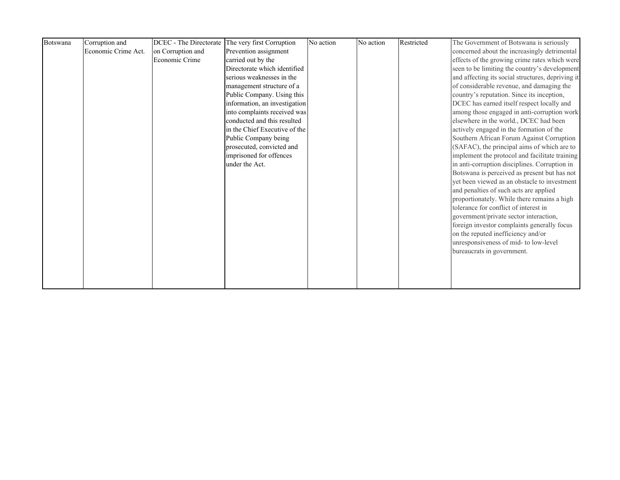| Botswana | Corruption and      |                   | DCEC - The Directorate The very first Corruption | No action | No action | Restricted | The Government of Botswana is seriously           |
|----------|---------------------|-------------------|--------------------------------------------------|-----------|-----------|------------|---------------------------------------------------|
|          | Economic Crime Act. | on Corruption and | Prevention assignment                            |           |           |            | concerned about the increasingly detrimental      |
|          |                     | Economic Crime    | carried out by the                               |           |           |            | effects of the growing crime rates which were     |
|          |                     |                   | Directorate which identified                     |           |           |            | seen to be limiting the country's development     |
|          |                     |                   | serious weaknesses in the                        |           |           |            | and affecting its social structures, depriving it |
|          |                     |                   | management structure of a                        |           |           |            | of considerable revenue, and damaging the         |
|          |                     |                   | Public Company. Using this                       |           |           |            | country's reputation. Since its inception,        |
|          |                     |                   | information, an investigation                    |           |           |            | DCEC has earned itself respect locally and        |
|          |                     |                   | into complaints received was                     |           |           |            | among those engaged in anti-corruption work       |
|          |                     |                   | conducted and this resulted                      |           |           |            | elsewhere in the world., DCEC had been            |
|          |                     |                   | in the Chief Executive of the                    |           |           |            | actively engaged in the formation of the          |
|          |                     |                   | Public Company being                             |           |           |            | Southern African Forum Against Corruption         |
|          |                     |                   | prosecuted, convicted and                        |           |           |            | (SAFAC), the principal aims of which are to       |
|          |                     |                   | imprisoned for offences                          |           |           |            | implement the protocol and facilitate training    |
|          |                     |                   | under the Act.                                   |           |           |            | in anti-corruption disciplines. Corruption in     |
|          |                     |                   |                                                  |           |           |            | Botswana is perceived as present but has not      |
|          |                     |                   |                                                  |           |           |            | yet been viewed as an obstacle to investment      |
|          |                     |                   |                                                  |           |           |            | and penalties of such acts are applied            |
|          |                     |                   |                                                  |           |           |            | proportionately. While there remains a high       |
|          |                     |                   |                                                  |           |           |            | tolerance for conflict of interest in             |
|          |                     |                   |                                                  |           |           |            | government/private sector interaction,            |
|          |                     |                   |                                                  |           |           |            | foreign investor complaints generally focus       |
|          |                     |                   |                                                  |           |           |            | on the reputed inefficiency and/or                |
|          |                     |                   |                                                  |           |           |            | unresponsiveness of mid- to low-level             |
|          |                     |                   |                                                  |           |           |            | bureaucrats in government.                        |
|          |                     |                   |                                                  |           |           |            |                                                   |
|          |                     |                   |                                                  |           |           |            |                                                   |
|          |                     |                   |                                                  |           |           |            |                                                   |
|          |                     |                   |                                                  |           |           |            |                                                   |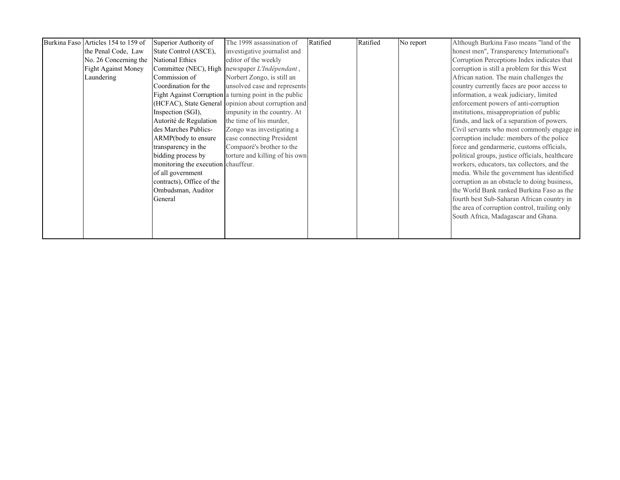| Burkina Faso Articles 154 to 159 of | Superior Authority of               | The 1998 assassination of                              | Ratified | Ratified | No report | Although Burkina Faso means "land of the        |
|-------------------------------------|-------------------------------------|--------------------------------------------------------|----------|----------|-----------|-------------------------------------------------|
| the Penal Code, Law                 | State Control (ASCE),               | investigative journalist and                           |          |          |           | honest men", Transparency International's       |
| No. 26 Concerning the               | <b>National Ethics</b>              | editor of the weekly                                   |          |          |           | Corruption Perceptions Index indicates that     |
| <b>Fight Against Money</b>          |                                     | Committee (NEC), High newspaper L'Indépendant,         |          |          |           | corruption is still a problem for this West     |
| Laundering                          | Commission of                       | Norbert Zongo, is still an                             |          |          |           | African nation. The main challenges the         |
|                                     | Coordination for the                | unsolved case and represents                           |          |          |           | country currently faces are poor access to      |
|                                     |                                     | Fight Against Corruption a turning point in the public |          |          |           | information, a weak judiciary, limited          |
|                                     |                                     | (HCFAC), State General opinion about corruption and    |          |          |           | enforcement powers of anti-corruption           |
|                                     | Inspection (SGI),                   | impunity in the country. At                            |          |          |           | institutions, misappropriation of public        |
|                                     | Autorité de Regulation              | the time of his murder,                                |          |          |           | funds, and lack of a separation of powers.      |
|                                     | des Marches Publics-                | Zongo was investigating a                              |          |          |           | Civil servants who most commonly engage in      |
|                                     | ARMP(body to ensure                 | case connecting President                              |          |          |           | corruption include: members of the police       |
|                                     | transparency in the                 | Compaoré's brother to the                              |          |          |           | force and gendarmerie, customs officials,       |
|                                     | bidding process by                  | torture and killing of his own                         |          |          |           | political groups, justice officials, healthcare |
|                                     | monitoring the execution chauffeur. |                                                        |          |          |           | workers, educators, tax collectors, and the     |
|                                     | of all government                   |                                                        |          |          |           | media. While the government has identified      |
|                                     | contracts), Office of the           |                                                        |          |          |           | corruption as an obstacle to doing business,    |
|                                     | Ombudsman, Auditor                  |                                                        |          |          |           | the World Bank ranked Burkina Faso as the       |
|                                     | General                             |                                                        |          |          |           | fourth best Sub-Saharan African country in      |
|                                     |                                     |                                                        |          |          |           | the area of corruption control, trailing only   |
|                                     |                                     |                                                        |          |          |           | South Africa, Madagascar and Ghana.             |
|                                     |                                     |                                                        |          |          |           |                                                 |
|                                     |                                     |                                                        |          |          |           |                                                 |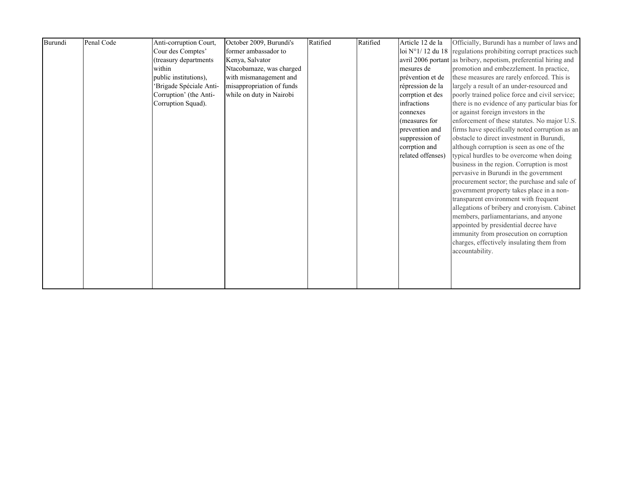| Burundi | Penal Code | Anti-corruption Court, | October 2009, Burundi's   | Ratified | Ratified | Article 12 de la  | Officially, Burundi has a number of laws and                              |
|---------|------------|------------------------|---------------------------|----------|----------|-------------------|---------------------------------------------------------------------------|
|         |            | Cour des Comptes'      | former ambassador to      |          |          |                   | loi $N^{\circ}$ 1/12 du 18 regulations prohibiting corrupt practices such |
|         |            | (treasury departments  | Kenya, Salvator           |          |          |                   | avril 2006 portant as bribery, nepotism, preferential hiring and          |
|         |            | within                 | Ntacobamaze, was charged  |          |          | mesures de        | promotion and embezzlement. In practice,                                  |
|         |            | public institutions),  | with mismanagement and    |          |          | prévention et de  | these measures are rarely enforced. This is                               |
|         |            | Brigade Spéciale Anti- | misappropriation of funds |          |          | répression de la  | largely a result of an under-resourced and                                |
|         |            | Corruption' (the Anti- | while on duty in Nairobi  |          |          | corrption et des  | poorly trained police force and civil service;                            |
|         |            | Corruption Squad).     |                           |          |          | infractions       | there is no evidence of any particular bias for                           |
|         |            |                        |                           |          |          | connexes          | or against foreign investors in the                                       |
|         |            |                        |                           |          |          | (measures for     | enforcement of these statutes. No major U.S.                              |
|         |            |                        |                           |          |          | prevention and    | firms have specifically noted corruption as an                            |
|         |            |                        |                           |          |          | suppression of    | obstacle to direct investment in Burundi,                                 |
|         |            |                        |                           |          |          | corrption and     | although corruption is seen as one of the                                 |
|         |            |                        |                           |          |          | related offenses) | typical hurdles to be overcome when doing                                 |
|         |            |                        |                           |          |          |                   | business in the region. Corruption is most                                |
|         |            |                        |                           |          |          |                   | pervasive in Burundi in the government                                    |
|         |            |                        |                           |          |          |                   | procurement sector; the purchase and sale of                              |
|         |            |                        |                           |          |          |                   | government property takes place in a non-                                 |
|         |            |                        |                           |          |          |                   | transparent environment with frequent                                     |
|         |            |                        |                           |          |          |                   | allegations of bribery and cronyism. Cabinet                              |
|         |            |                        |                           |          |          |                   | members, parliamentarians, and anyone                                     |
|         |            |                        |                           |          |          |                   | appointed by presidential decree have                                     |
|         |            |                        |                           |          |          |                   | immunity from prosecution on corruption                                   |
|         |            |                        |                           |          |          |                   | charges, effectively insulating them from                                 |
|         |            |                        |                           |          |          |                   | accountability.                                                           |
|         |            |                        |                           |          |          |                   |                                                                           |
|         |            |                        |                           |          |          |                   |                                                                           |
|         |            |                        |                           |          |          |                   |                                                                           |
|         |            |                        |                           |          |          |                   |                                                                           |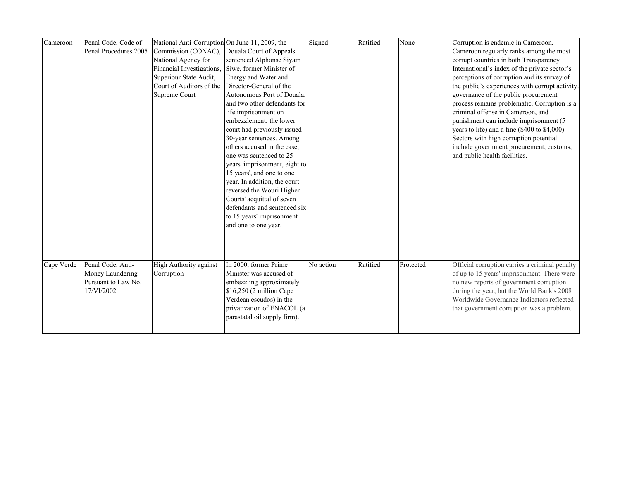| Cameroon   | Penal Code, Code of   | National Anti-Corruption On June 11, 2009, the |                                             | Signed    | Ratified | None      | Corruption is endemic in Cameroon.              |
|------------|-----------------------|------------------------------------------------|---------------------------------------------|-----------|----------|-----------|-------------------------------------------------|
|            | Penal Procedures 2005 |                                                | Commission (CONAC), Douala Court of Appeals |           |          |           | Cameroon regularly ranks among the most         |
|            |                       | National Agency for                            | sentenced Alphonse Siyam                    |           |          |           | corrupt countries in both Transparency          |
|            |                       | Financial Investigations,                      | Siwe, former Minister of                    |           |          |           | International's index of the private sector's   |
|            |                       | Superiour State Audit,                         | Energy and Water and                        |           |          |           | perceptions of corruption and its survey of     |
|            |                       | Court of Auditors of the                       | Director-General of the                     |           |          |           | the public's experiences with corrupt activity. |
|            |                       | Supreme Court                                  | Autonomous Port of Douala,                  |           |          |           | governance of the public procurement            |
|            |                       |                                                | and two other defendants for                |           |          |           | process remains problematic. Corruption is a    |
|            |                       |                                                | life imprisonment on                        |           |          |           | criminal offense in Cameroon, and               |
|            |                       |                                                | embezzlement; the lower                     |           |          |           | punishment can include imprisonment (5          |
|            |                       |                                                | court had previously issued                 |           |          |           | years to life) and a fine (\$400 to \$4,000).   |
|            |                       |                                                | 30-year sentences. Among                    |           |          |           | Sectors with high corruption potential          |
|            |                       |                                                | others accused in the case,                 |           |          |           | include government procurement, customs,        |
|            |                       |                                                | one was sentenced to 25                     |           |          |           | and public health facilities.                   |
|            |                       |                                                | years' imprisonment, eight to               |           |          |           |                                                 |
|            |                       |                                                | 15 years', and one to one                   |           |          |           |                                                 |
|            |                       |                                                | year. In addition, the court                |           |          |           |                                                 |
|            |                       |                                                | reversed the Wouri Higher                   |           |          |           |                                                 |
|            |                       |                                                | Courts' acquittal of seven                  |           |          |           |                                                 |
|            |                       |                                                | defendants and sentenced six                |           |          |           |                                                 |
|            |                       |                                                | to 15 years' imprisonment                   |           |          |           |                                                 |
|            |                       |                                                | and one to one year.                        |           |          |           |                                                 |
|            |                       |                                                |                                             |           |          |           |                                                 |
|            |                       |                                                |                                             |           |          |           |                                                 |
|            |                       |                                                |                                             |           |          |           |                                                 |
|            |                       |                                                |                                             |           |          |           |                                                 |
| Cape Verde | Penal Code, Anti-     | High Authority against                         | In 2000, former Prime                       | No action | Ratified | Protected | Official corruption carries a criminal penalty  |
|            | Money Laundering      | Corruption                                     | Minister was accused of                     |           |          |           | of up to 15 years' imprisonment. There were     |
|            | Pursuant to Law No.   |                                                | embezzling approximately                    |           |          |           | no new reports of government corruption         |
|            | 17/VI/2002            |                                                | \$16,250 (2 million Cape                    |           |          |           | during the year, but the World Bank's 2008      |
|            |                       |                                                | Verdean escudos) in the                     |           |          |           | Worldwide Governance Indicators reflected       |
|            |                       |                                                | privatization of ENACOL (a                  |           |          |           | that government corruption was a problem.       |
|            |                       |                                                | parastatal oil supply firm).                |           |          |           |                                                 |
|            |                       |                                                |                                             |           |          |           |                                                 |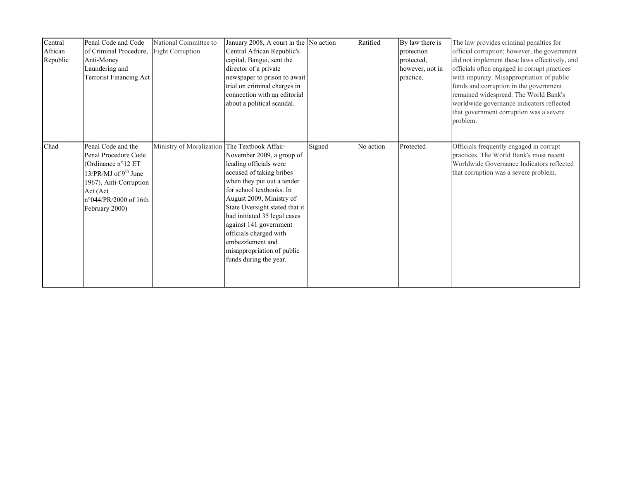| Central<br>African<br>Republic | Penal Code and Code<br>of Criminal Procedure.<br>Anti-Money<br>Laundering and<br>Terrorist Financing Act                                                                    | National Committee to<br>Fight Corruption     | January 2008, A court in the No action<br>Central African Republic's<br>capital, Bangui, sent the<br>director of a private<br>newspaper to prison to await<br>trial on criminal charges in<br>connection with an editorial<br>about a political scandal.                                                                                                                |        | Ratified  | By law there is<br>protection<br>protected,<br>however, not in<br>practice. | The law provides criminal penalties for<br>official corruption; however, the government<br>did not implement these laws effectively, and<br>officials often engaged in corrupt practices<br>with impunity. Misappropriation of public<br>funds and corruption in the government<br>remained widespread. The World Bank's<br>worldwide governance indicators reflected<br>that government corruption was a severe<br>problem. |
|--------------------------------|-----------------------------------------------------------------------------------------------------------------------------------------------------------------------------|-----------------------------------------------|-------------------------------------------------------------------------------------------------------------------------------------------------------------------------------------------------------------------------------------------------------------------------------------------------------------------------------------------------------------------------|--------|-----------|-----------------------------------------------------------------------------|------------------------------------------------------------------------------------------------------------------------------------------------------------------------------------------------------------------------------------------------------------------------------------------------------------------------------------------------------------------------------------------------------------------------------|
| Chad                           | Penal Code and the<br>Penal Procedure Code<br>(Ordinance n°12 ET<br>13/PR/MJ of $9th$ June<br>1967), Anti-Corruption<br>Act (Act<br>n°044/PR/2000 of 16th<br>February 2000) | Ministry of Moralization The Textbook Affair- | November 2009, a group of<br>leading officials were<br>accused of taking bribes<br>when they put out a tender<br>for school textbooks. In<br>August 2009, Ministry of<br>State Oversight stated that it<br>had initiated 35 legal cases<br>against 141 government<br>officials charged with<br>embezzlement and<br>misappropriation of public<br>funds during the year. | Signed | No action | Protected                                                                   | Officials frequently engaged in corrupt<br>practices. The World Bank's most recent<br>Worldwide Governance Indicators reflected<br>that corruption was a severe problem.                                                                                                                                                                                                                                                     |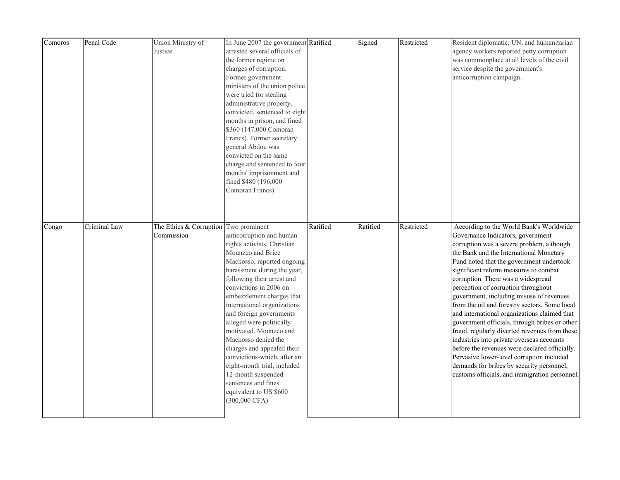| Comoros | Penal Code   | Union Ministry of<br>Justice                        | In June 2007 the government Ratified<br>arrested several officials of<br>the former regime on<br>charges of corruption.<br>Former government<br>ministers of the union police<br>were tried for stealing<br>administrative property,<br>convicted, sentenced to eight<br>months in prison, and fined<br>\$360 (147,000 Comoran<br>Francs). Former secretary<br>general Abdou was<br>convicted on the same<br>charge and sentenced to four<br>months' imprisonment and<br>fined \$480 (196,000<br>Comoran Francs).                                                   |          | Signed   | Restricted | Resident diplomatic, UN, and humanitarian<br>agency workers reported petty corruption<br>was commonplace at all levels of the civil<br>service despite the government's<br>anticorruption campaign.                                                                                                                                                                                                                                                                                                                                                                                                                                                                                                                                                                                                                            |
|---------|--------------|-----------------------------------------------------|---------------------------------------------------------------------------------------------------------------------------------------------------------------------------------------------------------------------------------------------------------------------------------------------------------------------------------------------------------------------------------------------------------------------------------------------------------------------------------------------------------------------------------------------------------------------|----------|----------|------------|--------------------------------------------------------------------------------------------------------------------------------------------------------------------------------------------------------------------------------------------------------------------------------------------------------------------------------------------------------------------------------------------------------------------------------------------------------------------------------------------------------------------------------------------------------------------------------------------------------------------------------------------------------------------------------------------------------------------------------------------------------------------------------------------------------------------------------|
| Congo   | Criminal Law | The Ethics & Corruption Two prominent<br>Commission | anticorruption and human<br>rights activists, Christian<br>Mounzeo and Brice<br>Mackosso, reported ongoing<br>harassment during the year,<br>following their arrest and<br>convictions in 2006 on<br>embezzlement charges that<br>international organizations<br>and foreign governments<br>alleged were politically<br>motivated. Mounzeo and<br>Mackosso denied the<br>charges and appealed their<br>convictions-which, after an<br>eight-month trial, included<br>12-month suspended<br>sentences and fines<br>equivalent to US \$600<br>$(300,000 \text{ CFA})$ | Ratified | Ratified | Restricted | According to the World Bank's Worldwide<br>Governance Indicators, government<br>corruption was a severe problem, although<br>the Bank and the International Monetary<br>Fund noted that the government undertook<br>significant reform measures to combat<br>corruption. There was a widespread<br>perception of corruption throughout<br>government, including misuse of revenues<br>from the oil and forestry sectors. Some local<br>and international organizations claimed that<br>government officials, through bribes or other<br>fraud, regularly diverted revenues from these<br>industries into private overseas accounts<br>before the revenues were declared officially.<br>Pervasive lower-level corruption included<br>demands for bribes by security personnel,<br>customs officials, and immigration personnel. |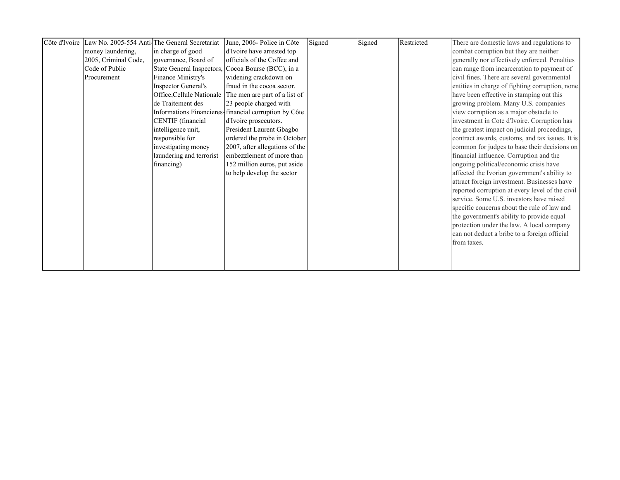|                      | Côte d'Ivoire Law No. 2005-554 Anti-The General Secretariat | June, 2006- Police in Côte                              | Signed | Signed | Restricted | There are domestic laws and regulations to      |
|----------------------|-------------------------------------------------------------|---------------------------------------------------------|--------|--------|------------|-------------------------------------------------|
| money laundering,    | in charge of good                                           | d'Ivoire have arrested top                              |        |        |            | combat corruption but they are neither          |
| 2005, Criminal Code, | governance, Board of                                        | officials of the Coffee and                             |        |        |            | generally nor effectively enforced. Penalties   |
| Code of Public       |                                                             | State General Inspectors, Cocoa Bourse (BCC), in a      |        |        |            | can range from incarceration to payment of      |
| Procurement          | Finance Ministry's                                          | widening crackdown on                                   |        |        |            | civil fines. There are several governmental     |
|                      | <b>Inspector General's</b>                                  | fraud in the cocoa sector.                              |        |        |            | entities in charge of fighting corruption, none |
|                      |                                                             | Office, Cellule Nationale The men are part of a list of |        |        |            | have been effective in stamping out this        |
|                      | de Traitement des                                           | 23 people charged with                                  |        |        |            | growing problem. Many U.S. companies            |
|                      |                                                             | Informations Financieres-financial corruption by Côte   |        |        |            | view corruption as a major obstacle to          |
|                      | CENTIF (financial                                           | d'Ivoire prosecutors.                                   |        |        |            | investment in Cote d'Ivoire. Corruption has     |
|                      | intelligence unit,                                          | President Laurent Gbagbo                                |        |        |            | the greatest impact on judicial proceedings,    |
|                      | responsible for                                             | ordered the probe in October                            |        |        |            | contract awards, customs, and tax issues. It is |
|                      | investigating money                                         | 2007, after allegations of the                          |        |        |            | common for judges to base their decisions on    |
|                      | laundering and terrorist                                    | embezzlement of more than                               |        |        |            | financial influence. Corruption and the         |
|                      | financing)                                                  | 152 million euros, put aside                            |        |        |            | ongoing political/economic crisis have          |
|                      |                                                             | to help develop the sector                              |        |        |            | affected the Ivorian government's ability to    |
|                      |                                                             |                                                         |        |        |            | attract foreign investment. Businesses have     |
|                      |                                                             |                                                         |        |        |            | reported corruption at every level of the civil |
|                      |                                                             |                                                         |        |        |            | service. Some U.S. investors have raised        |
|                      |                                                             |                                                         |        |        |            | specific concerns about the rule of law and     |
|                      |                                                             |                                                         |        |        |            | the government's ability to provide equal       |
|                      |                                                             |                                                         |        |        |            | protection under the law. A local company       |
|                      |                                                             |                                                         |        |        |            | can not deduct a bribe to a foreign official    |
|                      |                                                             |                                                         |        |        |            | from taxes.                                     |
|                      |                                                             |                                                         |        |        |            |                                                 |
|                      |                                                             |                                                         |        |        |            |                                                 |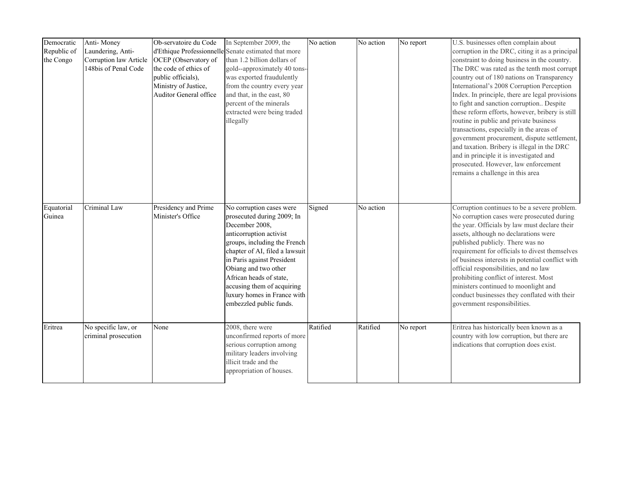| Democratic<br>Republic of<br>the Congo | Anti-Money<br>Laundering, Anti-<br>Corruption law Article<br>148bis of Penal Code | Ob-servatoire du Code<br>OCEP (Observatory of<br>the code of ethics of<br>public officials),<br>Ministry of Justice,<br>Auditor General office | In September 2009, the<br>d'Ethique Professionnelle Senate estimated that more<br>than 1.2 billion dollars of<br>gold--approximately 40 tons-<br>was exported fraudulently<br>from the country every year<br>and that, in the east, 80<br>percent of the minerals<br>extracted were being traded<br>illegally                                  | No action | No action | No report | U.S. businesses often complain about<br>corruption in the DRC, citing it as a principal<br>constraint to doing business in the country.<br>The DRC was rated as the tenth most corrupt<br>country out of 180 nations on Transparency<br>International's 2008 Corruption Perception<br>Index. In principle, there are legal provisions<br>to fight and sanction corruption Despite<br>these reform efforts, however, bribery is still<br>routine in public and private business<br>transactions, especially in the areas of<br>government procurement, dispute settlement,<br>and taxation. Bribery is illegal in the DRC<br>and in principle it is investigated and<br>prosecuted. However, law enforcement<br>remains a challenge in this area |
|----------------------------------------|-----------------------------------------------------------------------------------|------------------------------------------------------------------------------------------------------------------------------------------------|------------------------------------------------------------------------------------------------------------------------------------------------------------------------------------------------------------------------------------------------------------------------------------------------------------------------------------------------|-----------|-----------|-----------|-------------------------------------------------------------------------------------------------------------------------------------------------------------------------------------------------------------------------------------------------------------------------------------------------------------------------------------------------------------------------------------------------------------------------------------------------------------------------------------------------------------------------------------------------------------------------------------------------------------------------------------------------------------------------------------------------------------------------------------------------|
| Equatorial<br>Guinea                   | Criminal Law                                                                      | Presidency and Prime<br>Minister's Office                                                                                                      | No corruption cases were<br>prosecuted during 2009; In<br>December 2008,<br>anticorruption activist<br>groups, including the French<br>chapter of AI, filed a lawsuit<br>in Paris against President<br>Obiang and two other<br>African heads of state,<br>accusing them of acquiring<br>luxury homes in France with<br>embezzled public funds. | Signed    | No action |           | Corruption continues to be a severe problem.<br>No corruption cases were prosecuted during<br>the year. Officials by law must declare their<br>assets, although no declarations were<br>published publicly. There was no<br>requirement for officials to divest themselves<br>of business interests in potential conflict with<br>official responsibilities, and no law<br>prohibiting conflict of interest. Most<br>ministers continued to moonlight and<br>conduct businesses they conflated with their<br>government responsibilities.                                                                                                                                                                                                       |
| Eritrea                                | No specific law, or<br>criminal prosecution                                       | None                                                                                                                                           | 2008, there were<br>unconfirmed reports of more<br>serious corruption among<br>military leaders involving<br>illicit trade and the<br>appropriation of houses.                                                                                                                                                                                 | Ratified  | Ratified  | No report | Eritrea has historically been known as a<br>country with low corruption, but there are<br>indications that corruption does exist.                                                                                                                                                                                                                                                                                                                                                                                                                                                                                                                                                                                                               |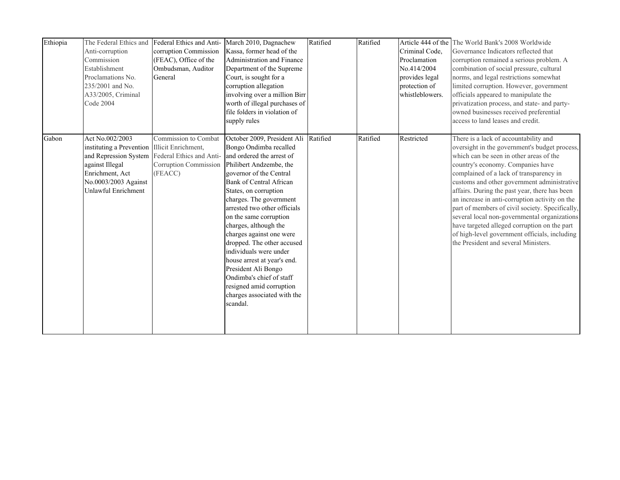| Ethiopia | The Federal Ethics and<br>Anti-corruption<br>Commission<br>Establishment<br>Proclamations No.<br>235/2001 and No.<br>A33/2005, Criminal<br><b>Code 2004</b> | Federal Ethics and Anti-<br>corruption Commission<br>(FEAC), Office of the<br>Ombudsman, Auditor<br>General | March 2010, Dagnachew<br>Kassa, former head of the<br>Administration and Finance<br>Department of the Supreme<br>Court, is sought for a<br>corruption allegation<br>involving over a million Birr<br>worth of illegal purchases of<br>file folders in violation of<br>supply rules                                                                                                                                                                                                                                                                                      | Ratified | Ratified | Criminal Code,<br>Proclamation<br>No.414/2004<br>provides legal<br>protection of<br>whistleblowers. | Article 444 of the The World Bank's 2008 Worldwide<br>Governance Indicators reflected that<br>corruption remained a serious problem. A<br>combination of social pressure, cultural<br>norms, and legal restrictions somewhat<br>limited corruption. However, government<br>officials appeared to manipulate the<br>privatization process, and state- and party-<br>owned businesses received preferential<br>access to land leases and credit.                                                                                                                                                                  |
|----------|-------------------------------------------------------------------------------------------------------------------------------------------------------------|-------------------------------------------------------------------------------------------------------------|-------------------------------------------------------------------------------------------------------------------------------------------------------------------------------------------------------------------------------------------------------------------------------------------------------------------------------------------------------------------------------------------------------------------------------------------------------------------------------------------------------------------------------------------------------------------------|----------|----------|-----------------------------------------------------------------------------------------------------|-----------------------------------------------------------------------------------------------------------------------------------------------------------------------------------------------------------------------------------------------------------------------------------------------------------------------------------------------------------------------------------------------------------------------------------------------------------------------------------------------------------------------------------------------------------------------------------------------------------------|
| Gabon    | Act No.002/2003<br>instituting a Prevention Illicit Enrichment,<br>against Illegal<br>Enrichment, Act<br>No.0003/2003 Against<br>Unlawful Enrichment        | Commission to Combat<br>and Repression System Federal Ethics and Anti-<br>Corruption Commission<br>(FEACC)  | October 2009, President Ali Ratified<br>Bongo Ondimba recalled<br>and ordered the arrest of<br>Philibert Andzembe, the<br>governor of the Central<br><b>Bank of Central African</b><br>States, on corruption<br>charges. The government<br>arrested two other officials<br>on the same corruption<br>charges, although the<br>charges against one were<br>dropped. The other accused<br>individuals were under<br>house arrest at year's end.<br>President Ali Bongo<br>Ondimba's chief of staff<br>resigned amid corruption<br>charges associated with the<br>scandal. |          | Ratified | Restricted                                                                                          | There is a lack of accountability and<br>oversight in the government's budget process,<br>which can be seen in other areas of the<br>country's economy. Companies have<br>complained of a lack of transparency in<br>customs and other government administrative<br>affairs. During the past year, there has been<br>an increase in anti-corruption activity on the<br>part of members of civil society. Specifically,<br>several local non-governmental organizations<br>have targeted alleged corruption on the part<br>of high-level government officials, including<br>the President and several Ministers. |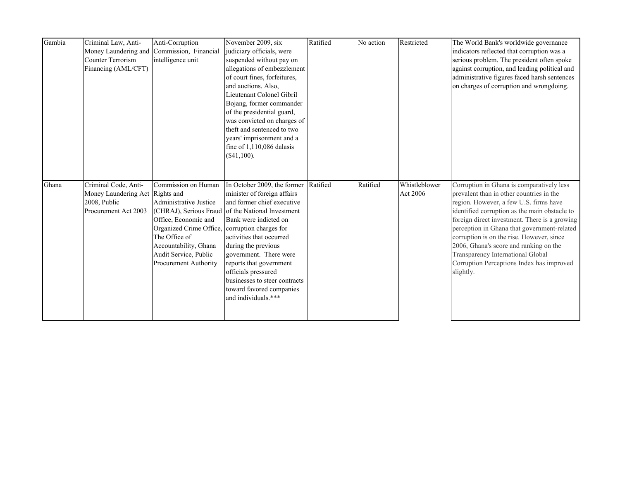| Gambia | Criminal Law, Anti-<br><b>Counter Terrorism</b><br>Financing (AML/CFT)                          | Anti-Corruption<br>Money Laundering and Commission, Financial<br>intelligence unit                                                                                                                                         | November 2009, six<br>judiciary officials, were<br>suspended without pay on<br>allegations of embezzlement<br>of court fines, forfeitures,<br>and auctions. Also,<br>Lieutenant Colonel Gibril<br>Bojang, former commander<br>of the presidential guard,<br>was convicted on charges of<br>theft and sentenced to two<br>years' imprisonment and a<br>fine of $1,110,086$ dalasis<br>(\$41,100). | Ratified | No action | Restricted                | The World Bank's worldwide governance<br>indicators reflected that corruption was a<br>serious problem. The president often spoke<br>against corruption, and leading political and<br>administrative figures faced harsh sentences<br>on charges of corruption and wrongdoing.                                                                                                                                                                                         |
|--------|-------------------------------------------------------------------------------------------------|----------------------------------------------------------------------------------------------------------------------------------------------------------------------------------------------------------------------------|--------------------------------------------------------------------------------------------------------------------------------------------------------------------------------------------------------------------------------------------------------------------------------------------------------------------------------------------------------------------------------------------------|----------|-----------|---------------------------|------------------------------------------------------------------------------------------------------------------------------------------------------------------------------------------------------------------------------------------------------------------------------------------------------------------------------------------------------------------------------------------------------------------------------------------------------------------------|
| Ghana  | Criminal Code, Anti-<br>Money Laundering Act Rights and<br>2008, Public<br>Procurement Act 2003 | Commission on Human<br><b>Administrative Justice</b><br>Office, Economic and<br>Organized Crime Office, corruption charges for<br>The Office of<br>Accountability, Ghana<br>Audit Service, Public<br>Procurement Authority | In October 2009, the former<br>minister of foreign affairs<br>and former chief executive<br>(CHRAJ), Serious Fraud of the National Investment<br>Bank were indicted on<br>activities that occurred<br>during the previous<br>government. There were<br>reports that government<br>officials pressured<br>businesses to steer contracts<br>toward favored companies<br>and individuals.***        | Ratified | Ratified  | Whistleblower<br>Act 2006 | Corruption in Ghana is comparatively less<br>prevalent than in other countries in the<br>region. However, a few U.S. firms have<br>identified corruption as the main obstacle to<br>foreign direct investment. There is a growing<br>perception in Ghana that government-related<br>corruption is on the rise. However, since<br>2006, Ghana's score and ranking on the<br>Transparency International Global<br>Corruption Perceptions Index has improved<br>slightly. |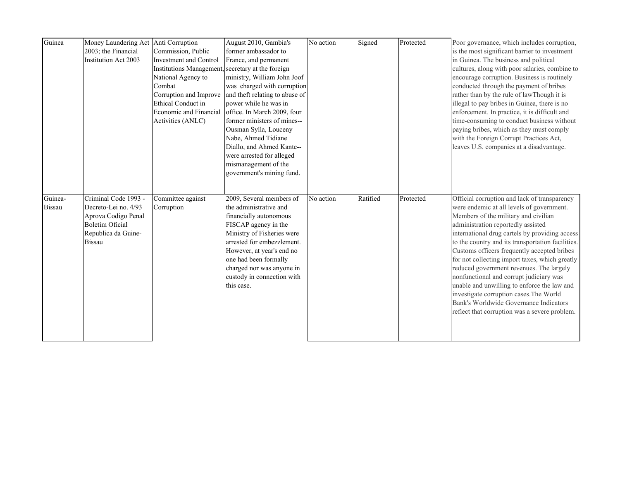| Guinea                   | Money Laundering Act<br>2003; the Financial<br>Institution Act 2003                                                                   | Anti Corruption<br>Commission, Public<br><b>Investment and Control</b><br>Institutions Management, secretary at the foreign<br>National Agency to<br>Combat<br>Corruption and Improve<br>Ethical Conduct in<br>Economic and Financial<br>Activities (ANLC) | August 2010, Gambia's<br>former ambassador to<br>France, and permanent<br>ministry, William John Joof<br>was charged with corruption<br>and theft relating to abuse of<br>power while he was in<br>office. In March 2009, four<br>former ministers of mines--<br>Ousman Sylla, Louceny<br>Nabe, Ahmed Tidiane<br>Diallo, and Ahmed Kante--<br>were arrested for alleged<br>mismanagement of the<br>government's mining fund. | No action | Signed   | Protected | Poor governance, which includes corruption,<br>is the most significant barrier to investment<br>in Guinea. The business and political<br>cultures, along with poor salaries, combine to<br>encourage corruption. Business is routinely<br>conducted through the payment of bribes<br>rather than by the rule of lawThough it is<br>illegal to pay bribes in Guinea, there is no<br>enforcement. In practice, it is difficult and<br>time-consuming to conduct business without<br>paying bribes, which as they must comply<br>with the Foreign Corrupt Practices Act,<br>leaves U.S. companies at a disadvantage.                                           |
|--------------------------|---------------------------------------------------------------------------------------------------------------------------------------|------------------------------------------------------------------------------------------------------------------------------------------------------------------------------------------------------------------------------------------------------------|------------------------------------------------------------------------------------------------------------------------------------------------------------------------------------------------------------------------------------------------------------------------------------------------------------------------------------------------------------------------------------------------------------------------------|-----------|----------|-----------|-------------------------------------------------------------------------------------------------------------------------------------------------------------------------------------------------------------------------------------------------------------------------------------------------------------------------------------------------------------------------------------------------------------------------------------------------------------------------------------------------------------------------------------------------------------------------------------------------------------------------------------------------------------|
| Guinea-<br><b>Bissau</b> | Criminal Code 1993 -<br>Decreto-Lei no. 4/93<br>Aprova Codigo Penal<br><b>Boletim Oficial</b><br>Republica da Guine-<br><b>Bissau</b> | Committee against<br>Corruption                                                                                                                                                                                                                            | 2009, Several members of<br>the administrative and<br>financially autonomous<br>FISCAP agency in the<br>Ministry of Fisheries were<br>arrested for embezzlement.<br>However, at year's end no<br>one had been formally<br>charged nor was anyone in<br>custody in connection with<br>this case.                                                                                                                              | No action | Ratified | Protected | Official corruption and lack of transparency<br>were endemic at all levels of government.<br>Members of the military and civilian<br>administration reportedly assisted<br>international drug cartels by providing access<br>to the country and its transportation facilities.<br>Customs officers frequently accepted bribes<br>for not collecting import taxes, which greatly<br>reduced government revenues. The largely<br>nonfunctional and corrupt judiciary was<br>unable and unwilling to enforce the law and<br>investigate corruption cases. The World<br>Bank's Worldwide Governance Indicators<br>reflect that corruption was a severe problem. |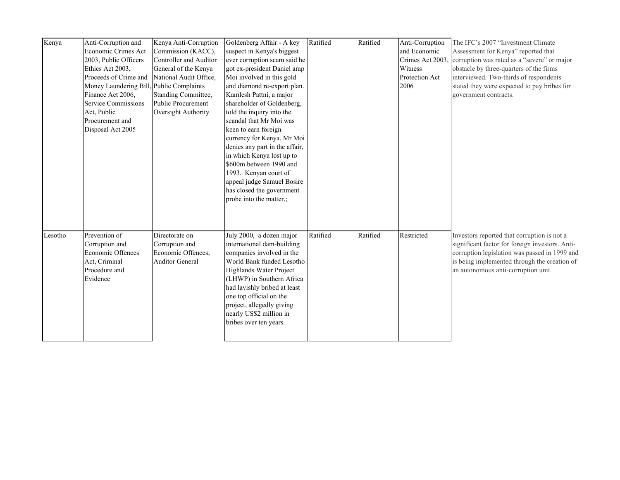| Kenya   | Anti-Corruption and<br>Economic Crimes Act<br>2003, Public Officers<br>Ethics Act 2003,<br>Proceeds of Crime and<br>Money Laundering Bill, Public Complaints<br>Finance Act 2006,<br>Service Commissions<br>Act, Public<br>Procurement and<br>Disposal Act 2005 | Kenya Anti-Corruption<br>Commission (KACC),<br>Controller and Auditor<br>General of the Kenya<br>National Audit Office,<br>Standing Committee,<br><b>Public Procurement</b><br>Oversight Authority | Goldenberg Affair - A key<br>suspect in Kenya's biggest<br>ever corruption scam said he<br>got ex-president Daniel arap<br>Moi involved in this gold<br>and diamond re-export plan.<br>Kamlesh Pattni, a major<br>shareholder of Goldenberg,<br>told the inquiry into the<br>scandal that Mr Moi was<br>keen to earn foreign<br>currency for Kenya. Mr Moi<br>denies any part in the affair,<br>in which Kenya lost up to<br>\$600m between 1990 and<br>1993. Kenyan court of<br>appeal judge Samuel Bosire<br>has closed the government<br>probe into the matter.; | Ratified | Ratified | Anti-Corruption<br>and Economic<br>Crimes Act 2003<br>Witness<br>Protection Act<br>2006 | The IFC's 2007 "Investment Climate"<br>Assessment for Kenya" reported that<br>corruption was rated as a "severe" or major<br>obstacle by three-quarters of the firms<br>interviewed. Two-thirds of respondents<br>stated they were expected to pay bribes for<br>government contracts. |
|---------|-----------------------------------------------------------------------------------------------------------------------------------------------------------------------------------------------------------------------------------------------------------------|----------------------------------------------------------------------------------------------------------------------------------------------------------------------------------------------------|---------------------------------------------------------------------------------------------------------------------------------------------------------------------------------------------------------------------------------------------------------------------------------------------------------------------------------------------------------------------------------------------------------------------------------------------------------------------------------------------------------------------------------------------------------------------|----------|----------|-----------------------------------------------------------------------------------------|----------------------------------------------------------------------------------------------------------------------------------------------------------------------------------------------------------------------------------------------------------------------------------------|
| Lesotho | Prevention of<br>Corruption and<br>Economic Offences<br>Act, Criminal<br>Procedure and<br>Evidence                                                                                                                                                              | Directorate on<br>Corruption and<br>Economic Offences,<br><b>Auditor General</b>                                                                                                                   | July 2000, a dozen major<br>international dam-building<br>companies involved in the<br>World Bank funded Lesotho<br>Highlands Water Project<br>(LHWP) in Southern Africa<br>had lavishly bribed at least<br>one top official on the<br>project, allegedly giving<br>nearly US\$2 million in<br>bribes over ten years.                                                                                                                                                                                                                                               | Ratified | Ratified | Restricted                                                                              | Investors reported that corruption is not a<br>significant factor for foreign investors. Anti-<br>corruption legislation was passed in 1999 and<br>is being implemented through the creation of<br>an autonomous anti-corruption unit.                                                 |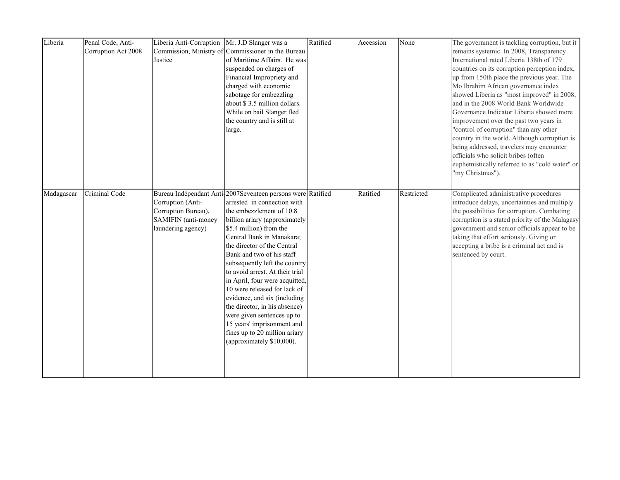| Liberia    | Penal Code, Anti-<br>Corruption Act 2008 | Liberia Anti-Corruption Mr. J.D Slanger was a<br>Justice                                     | Commission, Ministry of Commissioner in the Bureau<br>of Maritime Affairs. He was<br>suspended on charges of<br>Financial Impropriety and<br>charged with economic<br>sabotage for embezzling<br>about \$3.5 million dollars.<br>While on bail Slanger fled<br>the country and is still at<br>large.                                                                                                                                                                                                                                                                                                         | Ratified | Accession | None       | The government is tackling corruption, but it<br>remains systemic. In 2008, Transparency<br>International rated Liberia 138th of 179<br>countries on its corruption perception index,<br>up from 150th place the previous year. The<br>Mo Ibrahim African governance index<br>showed Liberia as "most improved" in 2008,<br>and in the 2008 World Bank Worldwide<br>Governance Indicator Liberia showed more<br>improvement over the past two years in<br>"control of corruption" than any other<br>country in the world. Although corruption is<br>being addressed, travelers may encounter<br>officials who solicit bribes (often<br>euphemistically referred to as "cold water" or<br>"my Christmas"). |
|------------|------------------------------------------|----------------------------------------------------------------------------------------------|--------------------------------------------------------------------------------------------------------------------------------------------------------------------------------------------------------------------------------------------------------------------------------------------------------------------------------------------------------------------------------------------------------------------------------------------------------------------------------------------------------------------------------------------------------------------------------------------------------------|----------|-----------|------------|-----------------------------------------------------------------------------------------------------------------------------------------------------------------------------------------------------------------------------------------------------------------------------------------------------------------------------------------------------------------------------------------------------------------------------------------------------------------------------------------------------------------------------------------------------------------------------------------------------------------------------------------------------------------------------------------------------------|
| Madagascar | Criminal Code                            | Corruption (Anti-<br>Corruption Bureau),<br><b>SAMIFIN</b> (anti-money<br>laundering agency) | Bureau Indépendant Anti-2007Seventeen persons were Ratified<br>arrested in connection with<br>the embezzlement of 10.8<br>billion ariary (approximately<br>\$5.4 million) from the<br>Central Bank in Manakara;<br>the director of the Central<br>Bank and two of his staff<br>subsequently left the country<br>to avoid arrest. At their trial<br>in April, four were acquitted,<br>10 were released for lack of<br>evidence, and six (including<br>the director, in his absence)<br>were given sentences up to<br>15 years' imprisonment and<br>fines up to 20 million ariary<br>(approximately \$10,000). |          | Ratified  | Restricted | Complicated administrative procedures<br>introduce delays, uncertainties and multiply<br>the possibilities for corruption. Combating<br>corruption is a stated priority of the Malagasy<br>government and senior officials appear to be<br>taking that effort seriously. Giving or<br>accepting a bribe is a criminal act and is<br>sentenced by court.                                                                                                                                                                                                                                                                                                                                                   |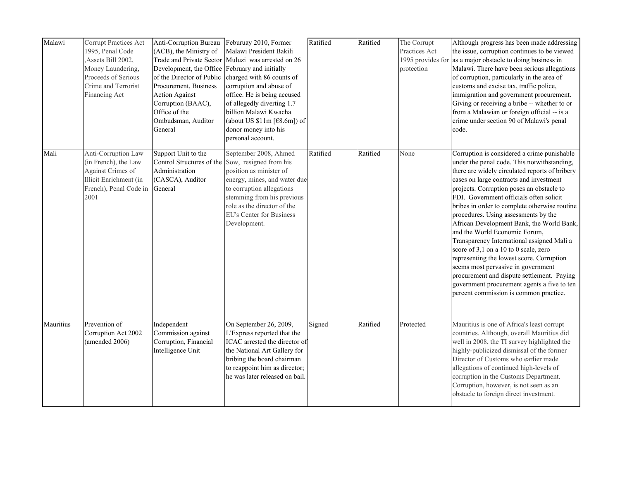| Malawi    | Corrupt Practices Act<br>1995, Penal Code<br>,Assets Bill 2002,<br>Money Laundering,<br>Proceeds of Serious<br>Crime and Terrorist<br>Financing Act | <b>Anti-Corruption Bureau</b><br>(ACB), the Ministry of<br>Development, the Office February and initially<br>of the Director of Public<br>Procurement, Business<br><b>Action Against</b><br>Corruption (BAAC),<br>Office of the<br>Ombudsman, Auditor<br>General | Feburuay 2010, Former<br>Malawi President Bakili<br>Trade and Private Sector Muluzi was arrested on 26<br>charged with 86 counts of<br>corruption and abuse of<br>office. He is being accused<br>of allegedly diverting 1.7<br>billion Malawi Kwacha<br>(about US $$11m$ [ $$8.6m$ ]) of<br>donor money into his<br>personal account. | Ratified | Ratified | The Corrupt<br>Practices Act<br>protection | Although progress has been made addressing<br>the issue, corruption continues to be viewed<br>1995 provides for as a major obstacle to doing business in<br>Malawi. There have been serious allegations<br>of corruption, particularly in the area of<br>customs and excise tax, traffic police,<br>immigration and government procurement.<br>Giving or receiving a bribe -- whether to or<br>from a Malawian or foreign official -- is a<br>crime under section 90 of Malawi's penal<br>code.                                                                                                                                                                                                                                                                         |
|-----------|-----------------------------------------------------------------------------------------------------------------------------------------------------|------------------------------------------------------------------------------------------------------------------------------------------------------------------------------------------------------------------------------------------------------------------|---------------------------------------------------------------------------------------------------------------------------------------------------------------------------------------------------------------------------------------------------------------------------------------------------------------------------------------|----------|----------|--------------------------------------------|-------------------------------------------------------------------------------------------------------------------------------------------------------------------------------------------------------------------------------------------------------------------------------------------------------------------------------------------------------------------------------------------------------------------------------------------------------------------------------------------------------------------------------------------------------------------------------------------------------------------------------------------------------------------------------------------------------------------------------------------------------------------------|
| Mali      | Anti-Corruption Law<br>(in French), the Law<br>Against Crimes of<br>Illicit Enrichment (in<br>French), Penal Code in General<br>2001                | Support Unit to the<br>Control Structures of the Sow, resigned from his<br>Administration<br>(CASCA), Auditor                                                                                                                                                    | September 2008, Ahmed<br>position as minister of<br>energy, mines, and water due<br>to corruption allegations<br>stemming from his previous<br>role as the director of the<br><b>EU's Center for Business</b><br>Development.                                                                                                         | Ratified | Ratified | None                                       | Corruption is considered a crime punishable<br>under the penal code. This notwithstanding,<br>there are widely circulated reports of bribery<br>cases on large contracts and investment<br>projects. Corruption poses an obstacle to<br>FDI. Government officials often solicit<br>bribes in order to complete otherwise routine<br>procedures. Using assessments by the<br>African Development Bank, the World Bank,<br>and the World Economic Forum,<br>Transparency International assigned Mali a<br>score of 3,1 on a 10 to 0 scale, zero<br>representing the lowest score. Corruption<br>seems most pervasive in government<br>procurement and dispute settlement. Paying<br>government procurement agents a five to ten<br>percent commission is common practice. |
| Mauritius | Prevention of<br>Corruption Act 2002<br>(amended 2006)                                                                                              | Independent<br>Commission against<br>Corruption, Financial<br>Intelligence Unit                                                                                                                                                                                  | On September 26, 2009,<br>L'Express reported that the<br>ICAC arrested the director of<br>the National Art Gallery for<br>bribing the board chairman<br>to reappoint him as director;<br>he was later released on bail.                                                                                                               | Signed   | Ratified | Protected                                  | Mauritius is one of Africa's least corrupt<br>countries. Although, overall Mauritius did<br>well in 2008, the TI survey highlighted the<br>highly-publicized dismissal of the former<br>Director of Customs who earlier made<br>allegations of continued high-levels of<br>corruption in the Customs Department.<br>Corruption, however, is not seen as an<br>obstacle to foreign direct investment.                                                                                                                                                                                                                                                                                                                                                                    |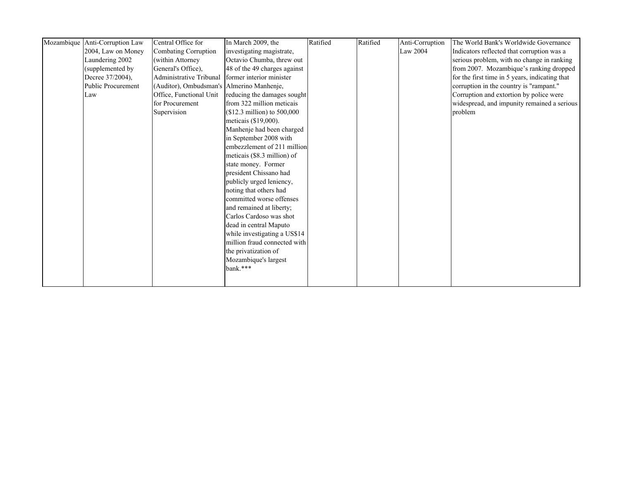| Indicators reflected that corruption was a<br>serious problem, with no change in ranking |
|------------------------------------------------------------------------------------------|
|                                                                                          |
|                                                                                          |
| from 2007. Mozambique's ranking dropped                                                  |
| for the first time in 5 years, indicating that                                           |
| corruption in the country is "rampant."                                                  |
| Corruption and extortion by police were                                                  |
| widespread, and impunity remained a serious                                              |
|                                                                                          |
|                                                                                          |
|                                                                                          |
|                                                                                          |
|                                                                                          |
|                                                                                          |
|                                                                                          |
|                                                                                          |
|                                                                                          |
|                                                                                          |
|                                                                                          |
|                                                                                          |
|                                                                                          |
|                                                                                          |
|                                                                                          |
|                                                                                          |
|                                                                                          |
|                                                                                          |
|                                                                                          |
|                                                                                          |
|                                                                                          |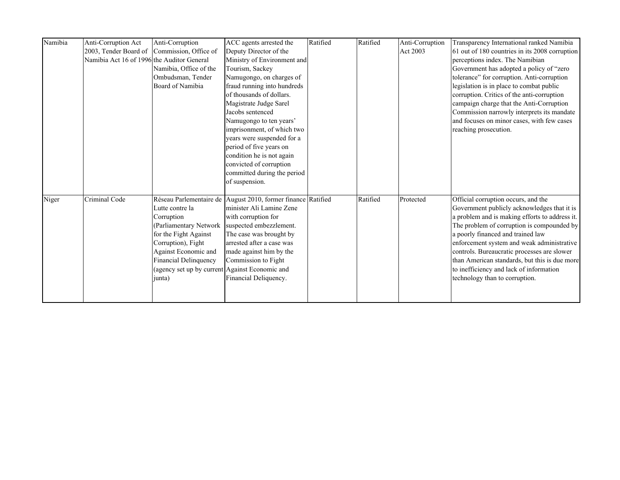| Namibia | Anti-Corruption Act                        | Anti-Corruption                                | ACC agents arrested the                                      | Ratified | Ratified | Anti-Corruption | Transparency International ranked Namibia      |
|---------|--------------------------------------------|------------------------------------------------|--------------------------------------------------------------|----------|----------|-----------------|------------------------------------------------|
|         |                                            | 2003, Tender Board of Commission, Office of    | Deputy Director of the                                       |          |          | Act 2003        | 61 out of 180 countries in its 2008 corruption |
|         | Namibia Act 16 of 1996 the Auditor General |                                                | Ministry of Environment and                                  |          |          |                 | perceptions index. The Namibian                |
|         |                                            | Namibia, Office of the                         | Tourism, Sackey                                              |          |          |                 | Government has adopted a policy of "zero       |
|         |                                            | Ombudsman, Tender                              | Namugongo, on charges of                                     |          |          |                 | tolerance" for corruption. Anti-corruption     |
|         |                                            | Board of Namibia                               | fraud running into hundreds                                  |          |          |                 | legislation is in place to combat public       |
|         |                                            |                                                | of thousands of dollars.                                     |          |          |                 | corruption. Critics of the anti-corruption     |
|         |                                            |                                                | Magistrate Judge Sarel                                       |          |          |                 | campaign charge that the Anti-Corruption       |
|         |                                            |                                                | Jacobs sentenced                                             |          |          |                 | Commission narrowly interprets its mandate     |
|         |                                            |                                                | Namugongo to ten years'                                      |          |          |                 | and focuses on minor cases, with few cases     |
|         |                                            |                                                | imprisonment, of which two                                   |          |          |                 | reaching prosecution.                          |
|         |                                            |                                                | years were suspended for a                                   |          |          |                 |                                                |
|         |                                            |                                                | period of five years on                                      |          |          |                 |                                                |
|         |                                            |                                                | condition he is not again                                    |          |          |                 |                                                |
|         |                                            |                                                | convicted of corruption                                      |          |          |                 |                                                |
|         |                                            |                                                | committed during the period                                  |          |          |                 |                                                |
|         |                                            |                                                | of suspension.                                               |          |          |                 |                                                |
|         |                                            |                                                |                                                              |          |          |                 |                                                |
| Niger   | Criminal Code                              |                                                | Réseau Parlementaire de August 2010, former finance Ratified |          | Ratified | Protected       | Official corruption occurs, and the            |
|         |                                            | Lutte contre la                                | minister Ali Lamine Zene                                     |          |          |                 | Government publicly acknowledges that it is    |
|         |                                            | Corruption                                     | with corruption for                                          |          |          |                 | a problem and is making efforts to address it. |
|         |                                            | (Parliamentary Network                         | suspected embezzlement.                                      |          |          |                 | The problem of corruption is compounded by     |
|         |                                            | for the Fight Against                          | The case was brought by                                      |          |          |                 | a poorly financed and trained law              |
|         |                                            | Corruption), Fight                             | arrested after a case was                                    |          |          |                 | enforcement system and weak administrative     |
|         |                                            | Against Economic and                           | made against him by the                                      |          |          |                 | controls. Bureaucratic processes are slower    |
|         |                                            | Financial Delinquency                          | Commission to Fight                                          |          |          |                 | than American standards, but this is due more  |
|         |                                            | (agency set up by current Against Economic and |                                                              |          |          |                 | to inefficiency and lack of information        |
|         |                                            | junta)                                         | Financial Deliquency.                                        |          |          |                 | technology than to corruption.                 |
|         |                                            |                                                |                                                              |          |          |                 |                                                |
|         |                                            |                                                |                                                              |          |          |                 |                                                |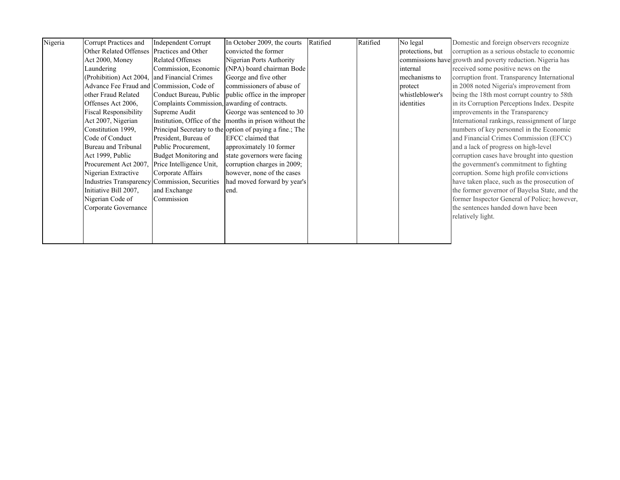| Nigeria | Corrupt Practices and                        | <b>Independent Corrupt</b>                     | In October 2009, the courts                              | Ratified | Ratified | No legal         | Domestic and foreign observers recognize                   |
|---------|----------------------------------------------|------------------------------------------------|----------------------------------------------------------|----------|----------|------------------|------------------------------------------------------------|
|         | Other Related Offenses Practices and Other   |                                                | convicted the former                                     |          |          | protections, but | corruption as a serious obstacle to economic               |
|         | Act 2000, Money                              | <b>Related Offenses</b>                        | Nigerian Ports Authority                                 |          |          |                  | commissions have growth and poverty reduction. Nigeria has |
|         | Laundering                                   | Commission, Economic                           | (NPA) board chairman Bode                                |          |          | internal         | received some positive news on the                         |
|         | (Prohibition) Act 2004, and Financial Crimes |                                                | George and five other                                    |          |          | mechanisms to    | corruption front. Transparency International               |
|         | Advance Fee Fraud and Commission, Code of    |                                                | commissioners of abuse of                                |          |          | protect          | in 2008 noted Nigeria's improvement from                   |
|         | other Fraud Related                          |                                                | Conduct Bureau, Public public office in the improper     |          |          | whistleblower's  | being the 18th most corrupt country to 58th                |
|         | Offenses Act 2006.                           | Complaints Commission, awarding of contracts.  |                                                          |          |          | identities       | in its Corruption Perceptions Index. Despite               |
|         | <b>Fiscal Responsibility</b>                 | Supreme Audit                                  | George was sentenced to 30                               |          |          |                  | improvements in the Transparency                           |
|         | Act 2007, Nigerian                           |                                                | Institution, Office of the months in prison without the  |          |          |                  | International rankings, reassignment of large              |
|         | Constitution 1999,                           |                                                | Principal Secretary to the option of paying a fine.; The |          |          |                  | numbers of key personnel in the Economic                   |
|         | Code of Conduct                              | President, Bureau of                           | EFCC claimed that                                        |          |          |                  | and Financial Crimes Commission (EFCC)                     |
|         | Bureau and Tribunal                          | Public Procurement.                            | approximately 10 former                                  |          |          |                  | and a lack of progress on high-level                       |
|         | Act 1999, Public                             | <b>Budget Monitoring and</b>                   | state governors were facing                              |          |          |                  | corruption cases have brought into question                |
|         | Procurement Act 2007.                        | Price Intelligence Unit,                       | corruption charges in 2009;                              |          |          |                  | the government's commitment to fighting                    |
|         | Nigerian Extractive                          | Corporate Affairs                              | however, none of the cases                               |          |          |                  | corruption. Some high profile convictions                  |
|         |                                              | Industries Transparency Commission, Securities | had moved forward by year's                              |          |          |                  | have taken place, such as the prosecution of               |
|         | Initiative Bill 2007,                        | and Exchange                                   | end.                                                     |          |          |                  | the former governor of Bayelsa State, and the              |
|         | Nigerian Code of                             | Commission                                     |                                                          |          |          |                  | former Inspector General of Police; however,               |
|         | Corporate Governance                         |                                                |                                                          |          |          |                  | the sentences handed down have been                        |
|         |                                              |                                                |                                                          |          |          |                  | relatively light.                                          |
|         |                                              |                                                |                                                          |          |          |                  |                                                            |
|         |                                              |                                                |                                                          |          |          |                  |                                                            |
|         |                                              |                                                |                                                          |          |          |                  |                                                            |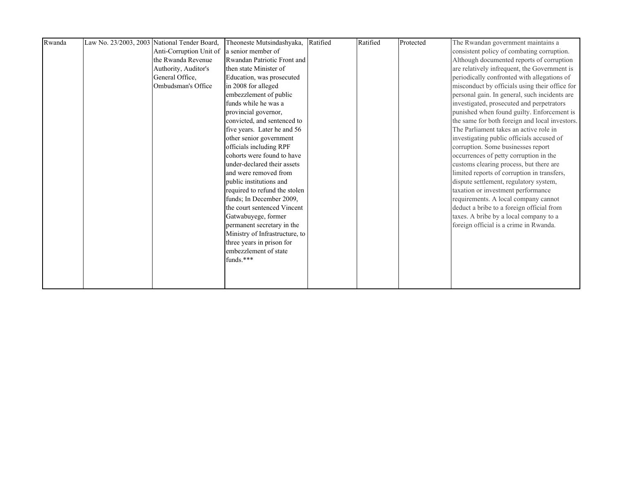| Rwanda | Law No. 23/2003, 2003 National Tender Board, | Theoneste Mutsindashyaka,      | Ratified | Ratified | Protected | The Rwandan government maintains a             |
|--------|----------------------------------------------|--------------------------------|----------|----------|-----------|------------------------------------------------|
|        | Anti-Corruption Unit of                      | a senior member of             |          |          |           | consistent policy of combating corruption.     |
|        | the Rwanda Revenue                           | Rwandan Patriotic Front and    |          |          |           | Although documented reports of corruption      |
|        | Authority, Auditor's                         | then state Minister of         |          |          |           | are relatively infrequent, the Government is   |
|        | General Office,                              | Education, was prosecuted      |          |          |           | periodically confronted with allegations of    |
|        | Ombudsman's Office                           | in 2008 for alleged            |          |          |           | misconduct by officials using their office for |
|        |                                              | embezzlement of public         |          |          |           | personal gain. In general, such incidents are  |
|        |                                              | funds while he was a           |          |          |           | investigated, prosecuted and perpetrators      |
|        |                                              | provincial governor,           |          |          |           | punished when found guilty. Enforcement is     |
|        |                                              | convicted, and sentenced to    |          |          |           | the same for both foreign and local investors. |
|        |                                              | five years. Later he and 56    |          |          |           | The Parliament takes an active role in         |
|        |                                              | other senior government        |          |          |           | investigating public officials accused of      |
|        |                                              | officials including RPF        |          |          |           | corruption. Some businesses report             |
|        |                                              | cohorts were found to have     |          |          |           | occurrences of petty corruption in the         |
|        |                                              | under-declared their assets    |          |          |           | customs clearing process, but there are        |
|        |                                              | and were removed from          |          |          |           | limited reports of corruption in transfers,    |
|        |                                              | public institutions and        |          |          |           | dispute settlement, regulatory system,         |
|        |                                              | required to refund the stolen  |          |          |           | taxation or investment performance             |
|        |                                              | funds; In December 2009,       |          |          |           | requirements. A local company cannot           |
|        |                                              | the court sentenced Vincent    |          |          |           | deduct a bribe to a foreign official from      |
|        |                                              | Gatwabuyege, former            |          |          |           | taxes. A bribe by a local company to a         |
|        |                                              | permanent secretary in the     |          |          |           | foreign official is a crime in Rwanda.         |
|        |                                              | Ministry of Infrastructure, to |          |          |           |                                                |
|        |                                              | three years in prison for      |          |          |           |                                                |
|        |                                              | embezzlement of state          |          |          |           |                                                |
|        |                                              | funds.***                      |          |          |           |                                                |
|        |                                              |                                |          |          |           |                                                |
|        |                                              |                                |          |          |           |                                                |
|        |                                              |                                |          |          |           |                                                |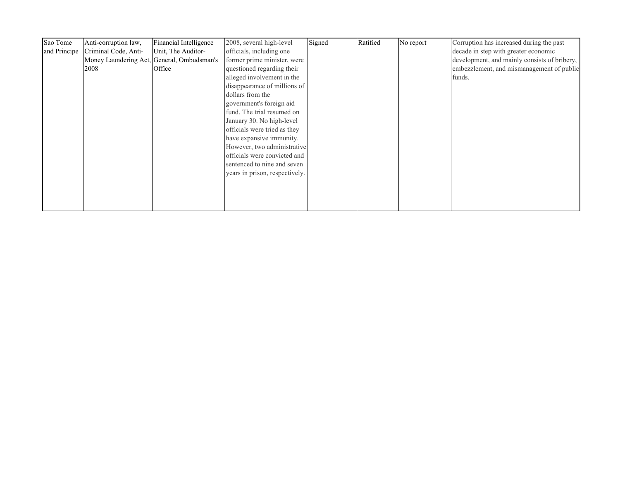| Sao Tome     | Anti-corruption law, | Financial Intelligence                     | 2008, several high-level       | Signed | Ratified | No report | Corruption has increased during the past     |
|--------------|----------------------|--------------------------------------------|--------------------------------|--------|----------|-----------|----------------------------------------------|
| and Principe | Criminal Code, Anti- | Unit, The Auditor-                         | officials, including one       |        |          |           | decade in step with greater economic         |
|              |                      | Money Laundering Act, General, Ombudsman's | former prime minister, were    |        |          |           | development, and mainly consists of bribery, |
|              | 2008                 | Office                                     | questioned regarding their     |        |          |           | embezzlement, and mismanagement of public    |
|              |                      |                                            | alleged involvement in the     |        |          |           | funds.                                       |
|              |                      |                                            | disappearance of millions of   |        |          |           |                                              |
|              |                      |                                            | dollars from the               |        |          |           |                                              |
|              |                      |                                            | government's foreign aid       |        |          |           |                                              |
|              |                      |                                            | fund. The trial resumed on     |        |          |           |                                              |
|              |                      |                                            | January 30. No high-level      |        |          |           |                                              |
|              |                      |                                            | officials were tried as they   |        |          |           |                                              |
|              |                      |                                            | have expansive immunity.       |        |          |           |                                              |
|              |                      |                                            | However, two administrative    |        |          |           |                                              |
|              |                      |                                            | officials were convicted and   |        |          |           |                                              |
|              |                      |                                            | sentenced to nine and seven    |        |          |           |                                              |
|              |                      |                                            | years in prison, respectively. |        |          |           |                                              |
|              |                      |                                            |                                |        |          |           |                                              |
|              |                      |                                            |                                |        |          |           |                                              |
|              |                      |                                            |                                |        |          |           |                                              |
|              |                      |                                            |                                |        |          |           |                                              |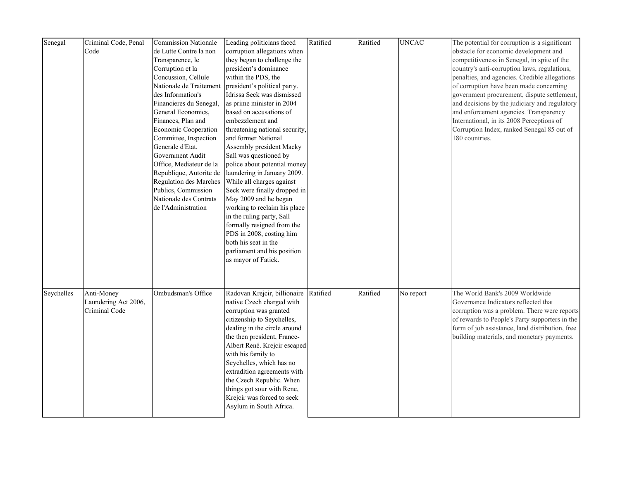| Senegal    | Criminal Code, Penal<br>Code                        | <b>Commission Nationale</b><br>de Lutte Contre la non<br>Transparence, le<br>Corruption et la<br>Concussion, Cellule<br>Nationale de Traitement<br>des Information's<br>Financieres du Senegal,<br>General Economics,<br>Finances, Plan and<br>Economic Cooperation<br>Committee, Inspection<br>Generale d'Etat,<br>Government Audit | Leading politicians faced<br>corruption allegations when<br>they began to challenge the<br>president's dominance<br>within the PDS, the<br>president's political party.<br>Idrissa Seck was dismissed<br>as prime minister in 2004<br>based on accusations of<br>embezzlement and<br>threatening national security,<br>and former National<br>Assembly president Macky<br>Sall was questioned by                              | Ratified | Ratified | <b>UNCAC</b> | The potential for corruption is a significant<br>obstacle for economic development and<br>competitiveness in Senegal, in spite of the<br>country's anti-corruption laws, regulations,<br>penalties, and agencies. Credible allegations<br>of corruption have been made concerning<br>government procurement, dispute settlement,<br>and decisions by the judiciary and regulatory<br>and enforcement agencies. Transparency<br>International, in its 2008 Perceptions of<br>Corruption Index, ranked Senegal 85 out of<br>180 countries. |
|------------|-----------------------------------------------------|--------------------------------------------------------------------------------------------------------------------------------------------------------------------------------------------------------------------------------------------------------------------------------------------------------------------------------------|-------------------------------------------------------------------------------------------------------------------------------------------------------------------------------------------------------------------------------------------------------------------------------------------------------------------------------------------------------------------------------------------------------------------------------|----------|----------|--------------|------------------------------------------------------------------------------------------------------------------------------------------------------------------------------------------------------------------------------------------------------------------------------------------------------------------------------------------------------------------------------------------------------------------------------------------------------------------------------------------------------------------------------------------|
|            |                                                     | Office, Mediateur de la<br>Republique, Autorite de<br>Regulation des Marches<br>Publics, Commission<br>Nationale des Contrats<br>de l'Administration                                                                                                                                                                                 | police about potential money<br>laundering in January 2009.<br>While all charges against<br>Seck were finally dropped in<br>May 2009 and he began<br>working to reclaim his place<br>in the ruling party, Sall<br>formally resigned from the<br>PDS in 2008, costing him<br>both his seat in the<br>parliament and his position<br>as mayor of Fatick.                                                                        |          |          |              |                                                                                                                                                                                                                                                                                                                                                                                                                                                                                                                                          |
| Seychelles | Anti-Money<br>Laundering Act 2006,<br>Criminal Code | Ombudsman's Office                                                                                                                                                                                                                                                                                                                   | Radovan Krejcir, billionaire Ratified<br>native Czech charged with<br>corruption was granted<br>citizenship to Seychelles,<br>dealing in the circle around<br>the then president, France-<br>Albert René. Krejcir escaped<br>with his family to<br>Seychelles, which has no<br>extradition agreements with<br>the Czech Republic. When<br>things got sour with Rene,<br>Krejcir was forced to seek<br>Asylum in South Africa. |          | Ratified | No report    | The World Bank's 2009 Worldwide<br>Governance Indicators reflected that<br>corruption was a problem. There were reports<br>of rewards to People's Party supporters in the<br>form of job assistance, land distribution, free<br>building materials, and monetary payments.                                                                                                                                                                                                                                                               |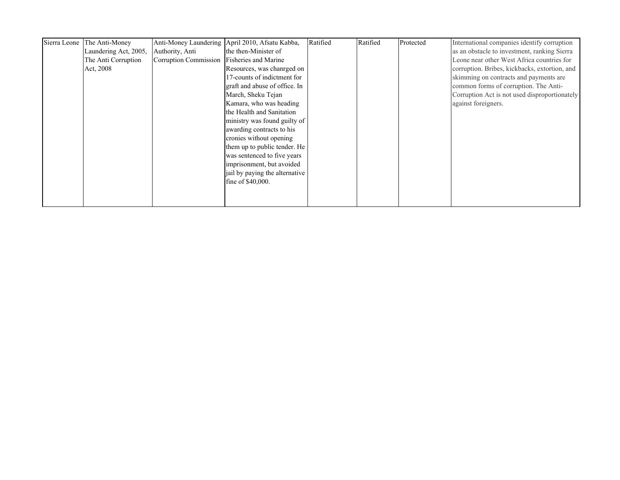| Sierra Leone The Anti-Money |                                            | Anti-Money Laundering April 2010, Afsatu Kabba, | Ratified | Ratified | Protected | International companies identify corruption   |
|-----------------------------|--------------------------------------------|-------------------------------------------------|----------|----------|-----------|-----------------------------------------------|
| Laundering Act, 2005,       | Authority, Anti                            | the then-Minister of                            |          |          |           | as an obstacle to investment, ranking Sierra  |
| The Anti Corruption         | Corruption Commission Fisheries and Marine |                                                 |          |          |           | Leone near other West Africa countries for    |
| Act, 2008                   |                                            | Resources, was chanrged on                      |          |          |           | corruption. Bribes, kickbacks, extortion, and |
|                             |                                            | 17-counts of indictment for                     |          |          |           | skimming on contracts and payments are        |
|                             |                                            | graft and abuse of office. In                   |          |          |           | common forms of corruption. The Anti-         |
|                             |                                            | March, Sheku Tejan                              |          |          |           | Corruption Act is not used disproportionately |
|                             |                                            | Kamara, who was heading                         |          |          |           | against foreigners.                           |
|                             |                                            | the Health and Sanitation                       |          |          |           |                                               |
|                             |                                            | ministry was found guilty of                    |          |          |           |                                               |
|                             |                                            | awarding contracts to his                       |          |          |           |                                               |
|                             |                                            | cronies without opening                         |          |          |           |                                               |
|                             |                                            | them up to public tender. He                    |          |          |           |                                               |
|                             |                                            | was sentenced to five years                     |          |          |           |                                               |
|                             |                                            | imprisonment, but avoided                       |          |          |           |                                               |
|                             |                                            | jail by paying the alternative                  |          |          |           |                                               |
|                             |                                            | fine of \$40,000.                               |          |          |           |                                               |
|                             |                                            |                                                 |          |          |           |                                               |
|                             |                                            |                                                 |          |          |           |                                               |
|                             |                                            |                                                 |          |          |           |                                               |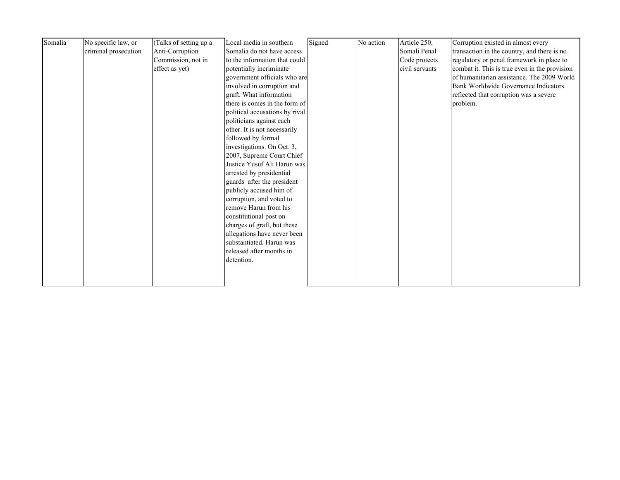| Somalia | No specific law, or<br>criminal prosecution | (Talks of setting up a<br>Anti-Corruption<br>Commission, not in<br>effect as yet) | Local media in southern<br>Somalia do not have access<br>to the information that could<br>potentially incriminate<br>government officials who are<br>involved in corruption and<br>graft. What information<br>there is comes in the form of<br>political accusations by rival<br>politicians against each<br>other. It is not necessarily                                                                            | Signed | No action | Article 250,<br>Somali Penal<br>Code protects<br>civil servants | Corruption existed in almost every<br>transaction in the country, and there is no<br>regulatory or penal framework in place to<br>combat it. This is true even in the provision<br>of humanitarian assistance. The 2009 World<br>Bank Worldwide Governance Indicators<br>reflected that corruption was a severe<br>problem. |
|---------|---------------------------------------------|-----------------------------------------------------------------------------------|----------------------------------------------------------------------------------------------------------------------------------------------------------------------------------------------------------------------------------------------------------------------------------------------------------------------------------------------------------------------------------------------------------------------|--------|-----------|-----------------------------------------------------------------|-----------------------------------------------------------------------------------------------------------------------------------------------------------------------------------------------------------------------------------------------------------------------------------------------------------------------------|
|         |                                             |                                                                                   | followed by formal<br>investigations. On Oct. 3,<br>2007, Supreme Court Chief<br>Justice Yusuf Ali Harun was<br>arrested by presidential<br>guards after the president<br>publicly accused him of<br>corruption, and voted to<br>remove Harun from his<br>constitutional post on<br>charges of graft, but these<br>allegations have never been<br>substantiated. Harun was<br>released after months in<br>detention. |        |           |                                                                 |                                                                                                                                                                                                                                                                                                                             |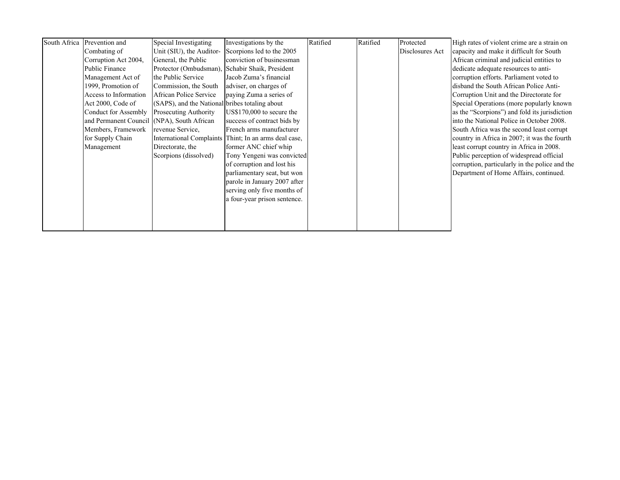| South Africa Prevention and<br>Combating of<br>Corruption Act 2004,<br><b>Public Finance</b><br>Management Act of<br>1999, Promotion of<br>Access to Information<br>Act 2000, Code of<br>Conduct for Assembly<br>and Permanent Council (NPA), South African<br>Members, Framework<br>for Supply Chain<br>Management | Special Investigating<br>Unit (SIU), the Auditor-<br>General, the Public<br>Protector (Ombudsman), Schabir Shaik, President<br>the Public Service<br>Commission, the South<br>African Police Service<br>(SAPS), and the National bribes totaling about<br>Prosecuting Authority<br>revenue Service.<br>Directorate, the<br>Scorpions (dissolved) | Investigations by the<br>Scorpions led to the 2005<br>conviction of businessman<br>Jacob Zuma's financial<br>adviser, on charges of<br>paying Zuma a series of<br>US\$170,000 to secure the<br>success of contract bids by<br>French arms manufacturer<br>International Complaints Thint; In an arms deal case,<br>former ANC chief whip<br>Tony Yengeni was convicted<br>of corruption and lost his<br>parliamentary seat, but won<br>parole in January 2007 after | Ratified | Ratified | Protected<br>Disclosures Act | High rates of violent crime are a strain on<br>capacity and make it difficult for South<br>African criminal and judicial entities to<br>dedicate adequate resources to anti-<br>corruption efforts. Parliament voted to<br>disband the South African Police Anti-<br>Corruption Unit and the Directorate for<br>Special Operations (more popularly known)<br>as the "Scorpions") and fold its jurisdiction<br>into the National Police in October 2008.<br>South Africa was the second least corrupt<br>country in Africa in 2007; it was the fourth<br>least corrupt country in Africa in 2008.<br>Public perception of widespread official<br>Department of Home Affairs, continued. |
|---------------------------------------------------------------------------------------------------------------------------------------------------------------------------------------------------------------------------------------------------------------------------------------------------------------------|--------------------------------------------------------------------------------------------------------------------------------------------------------------------------------------------------------------------------------------------------------------------------------------------------------------------------------------------------|---------------------------------------------------------------------------------------------------------------------------------------------------------------------------------------------------------------------------------------------------------------------------------------------------------------------------------------------------------------------------------------------------------------------------------------------------------------------|----------|----------|------------------------------|----------------------------------------------------------------------------------------------------------------------------------------------------------------------------------------------------------------------------------------------------------------------------------------------------------------------------------------------------------------------------------------------------------------------------------------------------------------------------------------------------------------------------------------------------------------------------------------------------------------------------------------------------------------------------------------|
|                                                                                                                                                                                                                                                                                                                     |                                                                                                                                                                                                                                                                                                                                                  | serving only five months of<br>a four-year prison sentence.                                                                                                                                                                                                                                                                                                                                                                                                         |          |          |                              | corruption, particularly in the police and the                                                                                                                                                                                                                                                                                                                                                                                                                                                                                                                                                                                                                                         |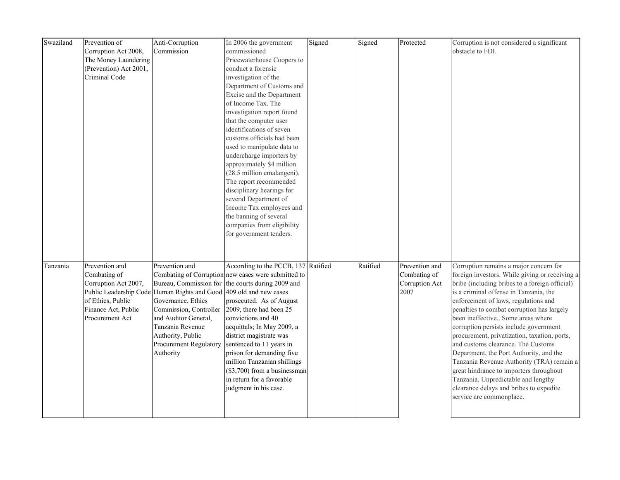| Swaziland | Prevention of          | Anti-Corruption                                                    | In 2006 the government                              | Signed | Signed   | Protected      | Corruption is not considered a significant     |
|-----------|------------------------|--------------------------------------------------------------------|-----------------------------------------------------|--------|----------|----------------|------------------------------------------------|
|           | Corruption Act 2008,   | Commission                                                         | commissioned                                        |        |          |                | obstacle to FDI.                               |
|           | The Money Laundering   |                                                                    | Pricewaterhouse Coopers to                          |        |          |                |                                                |
|           | (Prevention) Act 2001, |                                                                    | conduct a forensic                                  |        |          |                |                                                |
|           | Criminal Code          |                                                                    | investigation of the                                |        |          |                |                                                |
|           |                        |                                                                    | Department of Customs and                           |        |          |                |                                                |
|           |                        |                                                                    | Excise and the Department                           |        |          |                |                                                |
|           |                        |                                                                    | of Income Tax. The                                  |        |          |                |                                                |
|           |                        |                                                                    | investigation report found                          |        |          |                |                                                |
|           |                        |                                                                    | that the computer user                              |        |          |                |                                                |
|           |                        |                                                                    | identifications of seven                            |        |          |                |                                                |
|           |                        |                                                                    | customs officials had been                          |        |          |                |                                                |
|           |                        |                                                                    | used to manipulate data to                          |        |          |                |                                                |
|           |                        |                                                                    | undercharge importers by                            |        |          |                |                                                |
|           |                        |                                                                    | approximately \$4 million                           |        |          |                |                                                |
|           |                        |                                                                    | (28.5 million emalangeni).                          |        |          |                |                                                |
|           |                        |                                                                    | The report recommended                              |        |          |                |                                                |
|           |                        |                                                                    | disciplinary hearings for                           |        |          |                |                                                |
|           |                        |                                                                    | several Department of                               |        |          |                |                                                |
|           |                        |                                                                    | Income Tax employees and                            |        |          |                |                                                |
|           |                        |                                                                    | the banning of several                              |        |          |                |                                                |
|           |                        |                                                                    | companies from eligibility                          |        |          |                |                                                |
|           |                        |                                                                    | for government tenders.                             |        |          |                |                                                |
|           |                        |                                                                    |                                                     |        |          |                |                                                |
|           |                        |                                                                    |                                                     |        |          |                |                                                |
| Tanzania  | Prevention and         | Prevention and                                                     | According to the PCCB, 137 Ratified                 |        | Ratified | Prevention and | Corruption remains a major concern for         |
|           | Combating of           |                                                                    | Combating of Corruption new cases were submitted to |        |          | Combating of   | foreign investors. While giving or receiving a |
|           | Corruption Act 2007,   |                                                                    | Bureau, Commission for the courts during 2009 and   |        |          | Corruption Act | bribe (including bribes to a foreign official) |
|           |                        | Public Leadership Code Human Rights and Good 409 old and new cases |                                                     |        |          | 2007           | is a criminal offense in Tanzania, the         |
|           | of Ethics, Public      | Governance, Ethics                                                 | prosecuted. As of August                            |        |          |                | enforcement of laws, regulations and           |
|           | Finance Act, Public    | Commission, Controller                                             | 2009, there had been 25                             |        |          |                | penalties to combat corruption has largely     |
|           | Procurement Act        | and Auditor General,                                               | convictions and 40                                  |        |          |                | been ineffective Some areas where              |
|           |                        | Tanzania Revenue                                                   | acquittals; In May 2009, a                          |        |          |                | corruption persists include government         |
|           |                        | Authority, Public                                                  | district magistrate was                             |        |          |                | procurement, privatization, taxation, ports,   |
|           |                        | <b>Procurement Regulatory</b>                                      | sentenced to 11 years in                            |        |          |                | and customs clearance. The Customs             |
|           |                        | Authority                                                          | prison for demanding five                           |        |          |                | Department, the Port Authority, and the        |
|           |                        |                                                                    | million Tanzanian shillings                         |        |          |                | Tanzania Revenue Authority (TRA) remain a      |
|           |                        |                                                                    | $(\$3,700)$ from a businessman                      |        |          |                | great hindrance to importers throughout        |
|           |                        |                                                                    | in return for a favorable                           |        |          |                | Tanzania. Unpredictable and lengthy            |
|           |                        |                                                                    | judgment in his case.                               |        |          |                | clearance delays and bribes to expedite        |
|           |                        |                                                                    |                                                     |        |          |                | service are commonplace.                       |
|           |                        |                                                                    |                                                     |        |          |                |                                                |
|           |                        |                                                                    |                                                     |        |          |                |                                                |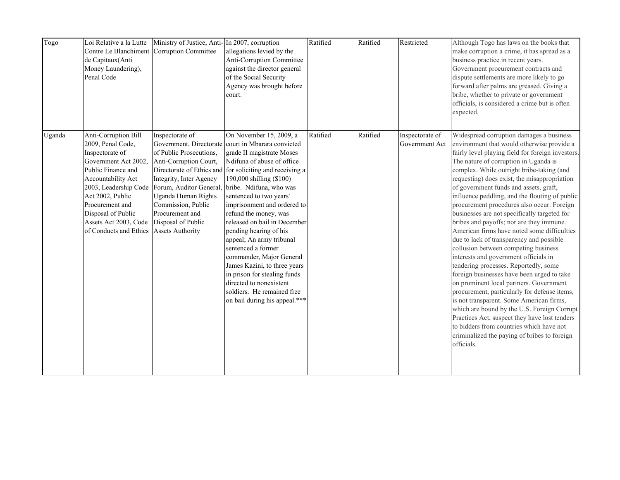| Togo   | Loi Relative a la Lutte<br>Contre Le Blanchiment Corruption Committee<br>de Capitaux(Anti<br>Money Laundering),<br>Penal Code                                                                                                                    | Ministry of Justice, Anti- In 2007, corruption                                                                                                                                                                                                                    | allegations levied by the<br>Anti-Corruption Committee<br>against the director general<br>of the Social Security<br>Agency was brought before<br>court.                                                                                                                                                                                                                                                                                                                                                                                                                                                                                          | Ratified | Ratified | Restricted                        | Although Togo has laws on the books that<br>make corruption a crime, it has spread as a<br>business practice in recent years.<br>Government procurement contracts and<br>dispute settlements are more likely to go<br>forward after palms are greased. Giving a<br>bribe, whether to private or government<br>officials, is considered a crime but is often<br>expected.                                                                                                                                                                                                                                                                                                                                                                                                                                                                                                                                                                                                                                                                                                                                                                    |
|--------|--------------------------------------------------------------------------------------------------------------------------------------------------------------------------------------------------------------------------------------------------|-------------------------------------------------------------------------------------------------------------------------------------------------------------------------------------------------------------------------------------------------------------------|--------------------------------------------------------------------------------------------------------------------------------------------------------------------------------------------------------------------------------------------------------------------------------------------------------------------------------------------------------------------------------------------------------------------------------------------------------------------------------------------------------------------------------------------------------------------------------------------------------------------------------------------------|----------|----------|-----------------------------------|---------------------------------------------------------------------------------------------------------------------------------------------------------------------------------------------------------------------------------------------------------------------------------------------------------------------------------------------------------------------------------------------------------------------------------------------------------------------------------------------------------------------------------------------------------------------------------------------------------------------------------------------------------------------------------------------------------------------------------------------------------------------------------------------------------------------------------------------------------------------------------------------------------------------------------------------------------------------------------------------------------------------------------------------------------------------------------------------------------------------------------------------|
| Uganda | Anti-Corruption Bill<br>2009, Penal Code,<br>Inspectorate of<br>Government Act 2002,<br>Public Finance and<br>Accountability Act<br>Act 2002, Public<br>Procurement and<br>Disposal of Public<br>Assets Act 2003, Code<br>of Conducts and Ethics | Inspectorate of<br>of Public Prosecutions,<br>Anti-Corruption Court,<br>Integrity, Inter Agency<br>2003, Leadership Code Forum, Auditor General.<br>Uganda Human Rights<br>Commission, Public<br>Procurement and<br>Disposal of Public<br><b>Assets Authority</b> | On November 15, 2009, a<br>Government, Directorate court in Mbarara convicted<br>grade II magistrate Moses<br>Ndifuna of abuse of office<br>Directorate of Ethics and for soliciting and receiving a<br>190,000 shilling (\$100)<br>bribe. Ndifuna, who was<br>sentenced to two years'<br>imprisonment and ordered to<br>refund the money, was<br>released on bail in December<br>pending hearing of his<br>appeal; An army tribunal<br>sentenced a former<br>commander, Major General<br>James Kazini, to three years<br>in prison for stealing funds<br>directed to nonexistent<br>soldiers. He remained free<br>on bail during his appeal.*** | Ratified | Ratified | Inspectorate of<br>Government Act | Widespread corruption damages a business<br>environment that would otherwise provide a<br>fairly level playing field for foreign investors.<br>The nature of corruption in Uganda is<br>complex. While outright bribe-taking (and<br>requesting) does exist, the misappropriation<br>of government funds and assets, graft,<br>influence peddling, and the flouting of public<br>procurement procedures also occur. Foreign<br>businesses are not specifically targeted for<br>bribes and payoffs; nor are they immune.<br>American firms have noted some difficulties<br>due to lack of transparency and possible<br>collusion between competing business<br>interests and government officials in<br>tendering processes. Reportedly, some<br>foreign businesses have been urged to take<br>on prominent local partners. Government<br>procurement, particularly for defense items,<br>is not transparent. Some American firms,<br>which are bound by the U.S. Foreign Corrupt<br>Practices Act, suspect they have lost tenders<br>to bidders from countries which have not<br>criminalized the paying of bribes to foreign<br>officials. |